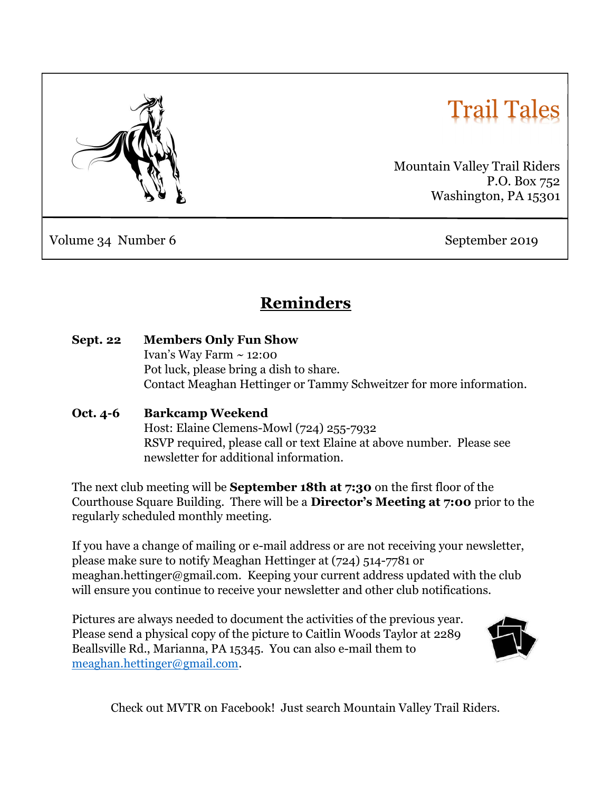

# Trail Tales

Mountain Valley Trail Riders P.O. Box 752 Washington, PA 15301

Volume 34 Number 6 September 2019

# Reminders

| <b>Sept. 22</b> | <b>Members Only Fun Show</b>                                        |  |  |
|-----------------|---------------------------------------------------------------------|--|--|
|                 | Ivan's Way Farm $\sim$ 12:00                                        |  |  |
|                 | Pot luck, please bring a dish to share.                             |  |  |
|                 | Contact Meaghan Hettinger or Tammy Schweitzer for more information. |  |  |

### Oct. 4-6 Barkcamp Weekend

 Host: Elaine Clemens-Mowl (724) 255-7932 RSVP required, please call or text Elaine at above number. Please see newsletter for additional information.

The next club meeting will be **September 18th at 7:30** on the first floor of the Courthouse Square Building. There will be a Director's Meeting at 7:00 prior to the regularly scheduled monthly meeting.

If you have a change of mailing or e-mail address or are not receiving your newsletter, please make sure to notify Meaghan Hettinger at (724) 514-7781 or meaghan.hettinger@gmail.com. Keeping your current address updated with the club will ensure you continue to receive your newsletter and other club notifications.

Pictures are always needed to document the activities of the previous year. Please send a physical copy of the picture to Caitlin Woods Taylor at 2289 Beallsville Rd., Marianna, PA 15345. You can also e-mail them to meaghan.hettinger@gmail.com.



Check out MVTR on Facebook! Just search Mountain Valley Trail Riders.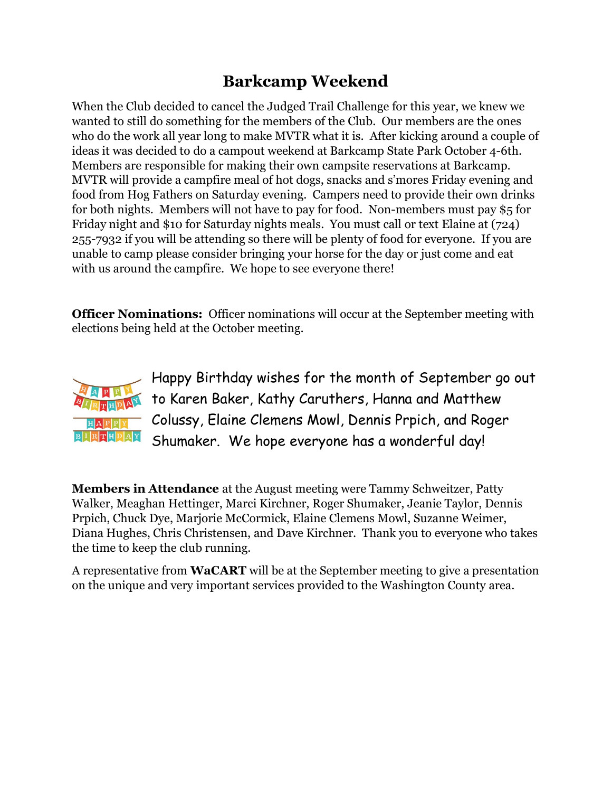## Barkcamp Weekend

When the Club decided to cancel the Judged Trail Challenge for this year, we knew we wanted to still do something for the members of the Club. Our members are the ones who do the work all year long to make MVTR what it is. After kicking around a couple of ideas it was decided to do a campout weekend at Barkcamp State Park October 4-6th. Members are responsible for making their own campsite reservations at Barkcamp. MVTR will provide a campfire meal of hot dogs, snacks and s'mores Friday evening and food from Hog Fathers on Saturday evening. Campers need to provide their own drinks for both nights. Members will not have to pay for food. Non-members must pay \$5 for Friday night and \$10 for Saturday nights meals. You must call or text Elaine at (724) 255-7932 if you will be attending so there will be plenty of food for everyone. If you are unable to camp please consider bringing your horse for the day or just come and eat with us around the campfire. We hope to see everyone there!

**Officer Nominations:** Officer nominations will occur at the September meeting with elections being held at the October meeting.



Happy Birthday wishes for the month of September go out to Karen Baker, Kathy Caruthers, Hanna and Matthew Colussy, Elaine Clemens Mowl, Dennis Prpich, and Roger Shumaker. We hope everyone has a wonderful day!

Members in Attendance at the August meeting were Tammy Schweitzer, Patty Walker, Meaghan Hettinger, Marci Kirchner, Roger Shumaker, Jeanie Taylor, Dennis Prpich, Chuck Dye, Marjorie McCormick, Elaine Clemens Mowl, Suzanne Weimer, Diana Hughes, Chris Christensen, and Dave Kirchner. Thank you to everyone who takes the time to keep the club running.

A representative from WaCART will be at the September meeting to give a presentation on the unique and very important services provided to the Washington County area.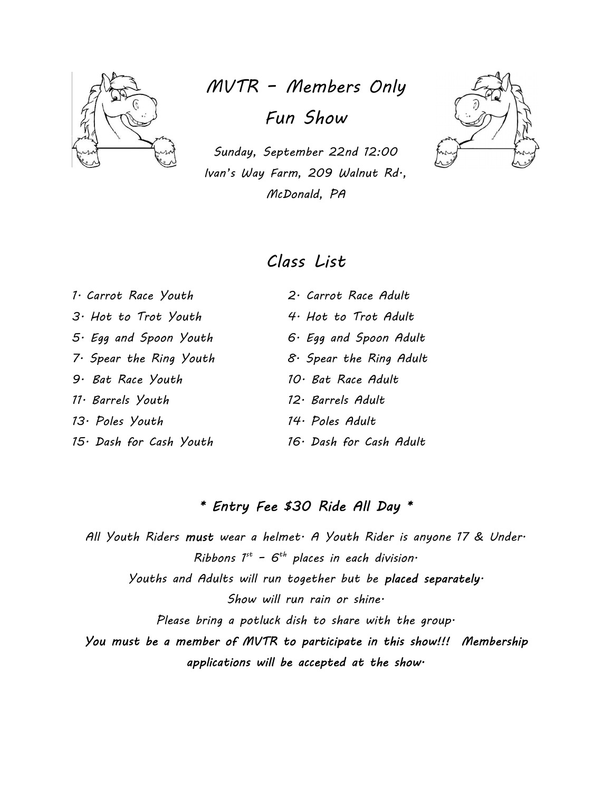

# MVTR – Members Only Fun Show

Sunday, September 22nd 12:00 Ivan's Way Farm, 209 Walnut Rd., McDonald, PA



### Class List

 $3 \cdot$  Hot to Trot Youth  $4 \cdot$  Hot to Trot Adult 9. Bat Race Youth 10. Bat Race Adult 11. Barrels Youth 12. Barrels Adult 13. Poles Youth 14. Poles Adult

1. Carrot Race Youth 2. Carrot Race Adult 5. Egg and Spoon Youth 6. Egg and Spoon Adult 7. Spear the Ring Youth  $8.$  Spear the Ring Adult 15. Dash for Cash Youth 16. Dash for Cash Adult

### \* Entry Fee \$30 Ride All Day \*

All Youth Riders must wear a helmet A Youth Rider is anyone 17 & Under Ribbons  $I^{st}$  -  $6^{th}$  places in each division. Youths and Adults will run together but be placed separately. Show will run rain or shine. Please bring a potluck dish to share with the group. You must be a member of MVTR to participate in this show!!! Membership applications will be accepted at the show.